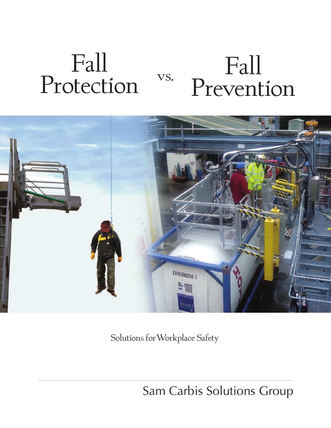# Fall Protection Fall Prevention vs.



Solutions forWorkplace Safety

Sam Carbis Solutions Group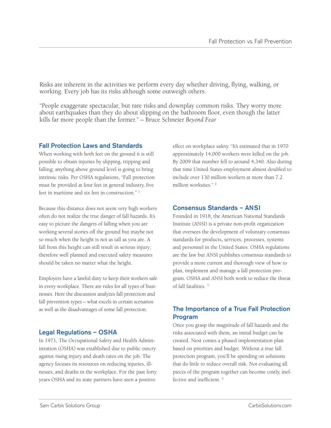Risks are inherent in the activities we perform every day whether driving, flying, walking, or working. Every job has its risks although some outweigh others.

"People exaggerate spectacular, but rare risks and downplay common risks. They worry more about earthquakes than they do about slipping on the bathroom floor, even though the latter kills far more people than the former." – Bruce Schneier *Beyond Fear*

#### **Fall Protection Laws and Standards**

When working with both feet on the ground it is still possible to obtain injuries by slipping, tripping and falling; anything above ground level is going to bring intrinsic risks. Per OSHA regulations, "Fall protection must be provided at four feet in general industry, five feet in maritime and six feet in construction." <sup>1</sup>

Because this distance does not seem very high workers often do not realize the true danger of fall hazards. It's easy to picture the dangers of falling when you are working several stories off the ground but maybe not so much when the height is not as tall as you are. A fall from this height can still result in serious injury; therefore well planned and executed safety measures should be taken no matter what the height.

Employers have a lawful duty to keep their workers safe in every workplace. There are rules for all types of businesses. Here the discussion analyzes fall protection and fall prevention types – what excels in certain scenarios as well as the disadvantages of some fall protection.

## **Legal Regulations – OSHA**

In 1971, The Occupational Safety and Health Administration (OSHA) was established due to public outcry against rising injury and death rates on the job. The agency focuses its resources on reducing injuries, illnesses, and deaths in the workplace. For the past forty years OSHA and its state partners have seen a positive

effect on workplace safety. "It's estimated that in 1970 approximately 14,000 workers were killed on the job. By 2009 that number fell to around 4,340. Also during that time United States employment almost doubled to include over 130 million workers at more than 7.2 million worksites."<sup>2</sup>

## **Consensus Standards – ANSI**

Founded in 1918, the American National Standards Institute (ANSI) is a private non-profit organization that oversees the development of voluntary consensus standards for products, services, processes, systems and personnel in the United States. OSHA regulations are the law but ANSI publishes consensus standards to provide a more current and thorough view of how to plan, implement and manage a fall protection program. OSHA and ANSI both work to reduce the threat of fall fatalities. <sup>3</sup>

# **The Importance of a True Fall Protection Program**

Once you grasp the magnitude of fall hazards and the risks associated with them, an initial budget can be created. Next comes a phased implementation plan based on priorities and budget. Without a true fall protection program, you'll be spending on solutions that do little to reduce overall risk. Not evaluating all pieces of the program together can become costly, ineffective and inefficient. <sup>3</sup>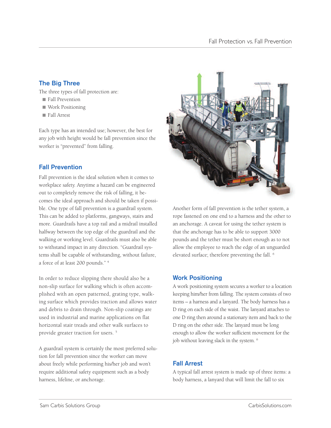# **The Big Three**

The three types of fall protection are:

- **■** Fall Prevention
- **■** Work Positioning
- **■** Fall Arrest

Each type has an intended use; however, the best for any job with height would be fall prevention since the worker is "prevented" from falling.

## **Fall Prevention**

Fall prevention is the ideal solution when it comes to workplace safety. Anytime a hazard can be engineered out to completely remove the risk of falling, it becomes the ideal approach and should be taken if possible. One type of fall prevention is a guardrail system. This can be added to platforms, gangways, stairs and more. Guardrails have a top rail and a midrail installed halfway between the top edge of the guardrail and the walking or working level. Guardrails must also be able to withstand impact in any direction. "Guardrail systems shall be capable of withstanding, without failure, a force of at least 200 pounds." <sup>4</sup>

In order to reduce slipping there should also be a non-slip surface for walking which is often accomplished with an open patterned, grating type, walking surface which provides traction and allows water and debris to drain through. Non-slip coatings are used in industrial and marine applications on flat horizontal stair treads and other walk surfaces to provide greater traction for users. <sup>5</sup>

A guardrail system is certainly the most preferred solution for fall prevention since the worker can move about freely while performing his/her job and won't require additional safety equipment such as a body harness, lifeline, or anchorage.



Another form of fall prevention is the tether system, a rope fastened on one end to a harness and the other to an anchorage. A caveat for using the tether system is that the anchorage has to be able to support 3000 pounds and the tether must be short enough as to not allow the employee to reach the edge of an unguarded elevated surface; therefore preventing the fall. <sup>6</sup>

## **Work Positioning**

A work positioning system secures a worker to a location keeping him/her from falling. The system consists of two items – a harness and a lanyard. The body harness has a D ring on each side of the waist. The lanyard attaches to one D ring then around a stationary item and back to the D ring on the other side. The lanyard must be long enough to allow the worker sufficient movement for the job without leaving slack in the system. <sup>6</sup>

# **Fall Arrest**

A typical fall arrest system is made up of three items: a body harness, a lanyard that will limit the fall to six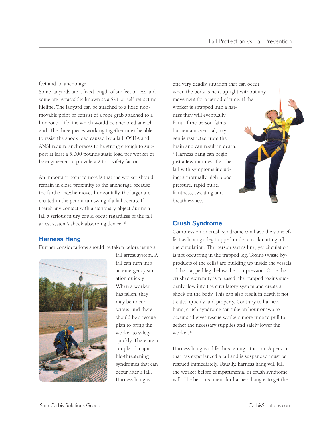feet and an anchorage.

Some lanyards are a fixed length of six feet or less and some are retractable; known as a SRL or self-retracting lifeline. The lanyard can be attached to a fixed nonmovable point or consist of a rope grab attached to a horizontal life line which would be anchored at each end. The three pieces working together must be able to resist the shock load caused by a fall. OSHA and ANSI require anchorages to be strong enough to support at least a 5,000 pounds static load per worker or be engineered to provide a 2 to 1 safety factor.

An important point to note is that the worker should remain in close proximity to the anchorage because the further he/she moves horizontally, the larger arc created in the pendulum swing if a fall occurs. If there's any contact with a stationary object during a fall a serious injury could occur regardless of the fall arrest system's shock absorbing device. <sup>6</sup>

# **Harness Hang**

Further considerations should be taken before using a



fall arrest system. A fall can turn into an emergency situation quickly. When a worker has fallen, they may be unconscious, and there should be a rescue plan to bring the worker to safety quickly. There are a couple of major life-threatening syndromes that can occur after a fall. Harness hang is

one very deadly situation that can occur when the body is held upright without any movement for a period of time. If the worker is strapped into a harness they will eventually faint. If the person faints but remains vertical, oxygen is restricted from the brain and can result in death. <sup>7</sup> Harness hang can begin just a few minutes after the fall with symptoms including: abnormally high blood pressure, rapid pulse, faintness, sweating and breathlessness.

## **Crush Syndrome**

Compression or crush syndrome can have the same effect as having a leg trapped under a rock cutting off the circulation. The person seems fine, yet circulation is not occurring in the trapped leg. Toxins (waste byproducts of the cells) are building up inside the vessels of the trapped leg, below the compression. Once the crushed extremity is released, the trapped toxins suddenly flow into the circulatory system and create a shock on the body. This can also result in death if not treated quickly and properly. Contrary to harness hang, crush syndrome can take an hour or two to occur and gives rescue workers more time to pull together the necessary supplies and safely lower the worker. <sup>8</sup>

Harness hang is a life-threatening situation. A person that has experienced a fall and is suspended must be rescued immediately. Usually, harness hang will kill the worker before compartmental or crush syndrome will. The best treatment for harness hang is to get the